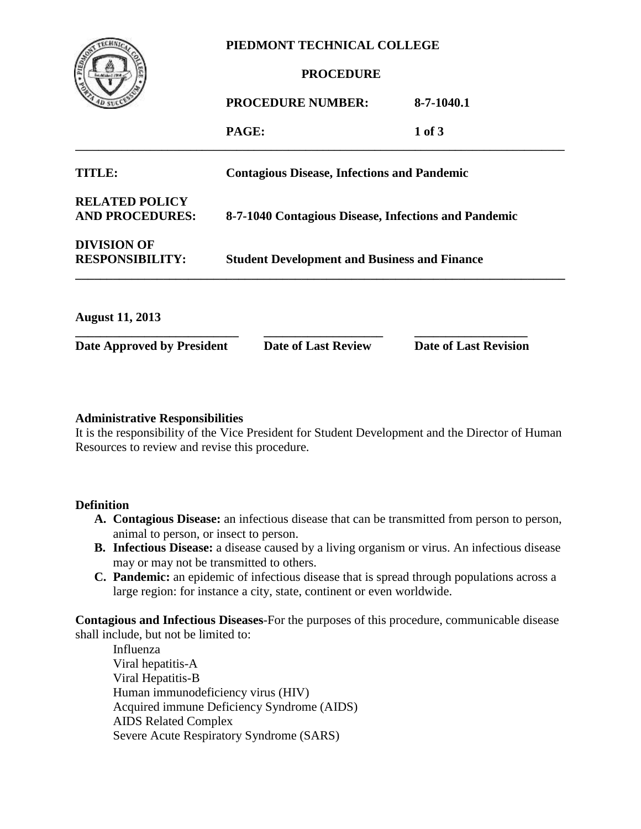

#### **PIEDMONT TECHNICAL COLLEGE**

## **PROCEDURE**

|                                                 | <b>PROCEDURE NUMBER:</b>                             | 8-7-1040.1 |
|-------------------------------------------------|------------------------------------------------------|------------|
|                                                 | PAGE:                                                | 1 of 3     |
| TITLE:                                          | <b>Contagious Disease, Infections and Pandemic</b>   |            |
| <b>RELATED POLICY</b><br><b>AND PROCEDURES:</b> | 8-7-1040 Contagious Disease, Infections and Pandemic |            |
| <b>DIVISION OF</b><br><b>RESPONSIBILITY:</b>    | <b>Student Development and Business and Finance</b>  |            |

| <b>August 11, 2013</b>     |                            |                              |
|----------------------------|----------------------------|------------------------------|
| Date Approved by President | <b>Date of Last Review</b> | <b>Date of Last Revision</b> |

#### **Administrative Responsibilities**

It is the responsibility of the Vice President for Student Development and the Director of Human Resources to review and revise this procedure.

**\_\_\_\_\_\_\_\_\_\_\_\_\_\_\_\_\_\_\_\_\_\_\_\_\_\_\_\_\_\_\_\_\_\_\_\_\_\_\_\_\_\_\_\_\_\_\_\_\_\_\_\_\_\_\_\_\_\_\_\_\_\_\_\_\_\_\_\_\_\_\_\_\_\_\_\_\_\_**

#### **Definition**

- **A. Contagious Disease:** an infectious disease that can be transmitted from person to person, animal to person, or insect to person.
- **B. Infectious Disease:** a disease caused by a living organism or virus. An infectious disease may or may not be transmitted to others.
- **C. Pandemic:** an epidemic of infectious disease that is spread through populations across a large region: for instance a city, state, continent or even worldwide.

**Contagious and Infectious Diseases**-For the purposes of this procedure, communicable disease shall include, but not be limited to:

Influenza Viral hepatitis-A Viral Hepatitis-B Human immunodeficiency virus (HIV) Acquired immune Deficiency Syndrome (AIDS) AIDS Related Complex Severe Acute Respiratory Syndrome (SARS)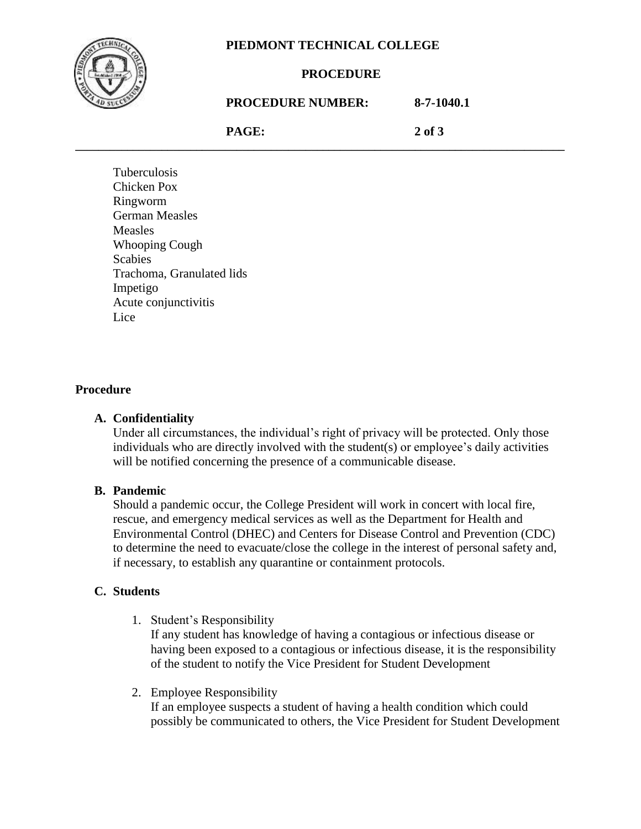

### **PIEDMONT TECHNICAL COLLEGE**

#### **PROCEDURE**

## **PROCEDURE NUMBER: 8-7-1040.1**

**PAGE: 2 of 3 \_\_\_\_\_\_\_\_\_\_\_\_\_\_\_\_\_\_\_\_\_\_\_\_\_\_\_\_\_\_\_\_\_\_\_\_\_\_\_\_\_\_\_\_\_\_\_\_\_\_\_\_\_\_\_\_\_\_\_\_\_\_\_\_\_\_\_\_\_\_\_\_\_\_\_\_\_\_\_\_\_\_\_\_\_**

Tuberculosis Chicken Pox Ringworm German Measles Measles Whooping Cough **Scabies** Trachoma, Granulated lids Impetigo Acute conjunctivitis Lice

## **Procedure**

#### **A. Confidentiality**

Under all circumstances, the individual's right of privacy will be protected. Only those individuals who are directly involved with the student(s) or employee's daily activities will be notified concerning the presence of a communicable disease.

#### **B. Pandemic**

Should a pandemic occur, the College President will work in concert with local fire, rescue, and emergency medical services as well as the Department for Health and Environmental Control (DHEC) and Centers for Disease Control and Prevention (CDC) to determine the need to evacuate/close the college in the interest of personal safety and, if necessary, to establish any quarantine or containment protocols.

#### **C. Students**

1. Student's Responsibility

If any student has knowledge of having a contagious or infectious disease or having been exposed to a contagious or infectious disease, it is the responsibility of the student to notify the Vice President for Student Development

2. Employee Responsibility

If an employee suspects a student of having a health condition which could possibly be communicated to others, the Vice President for Student Development